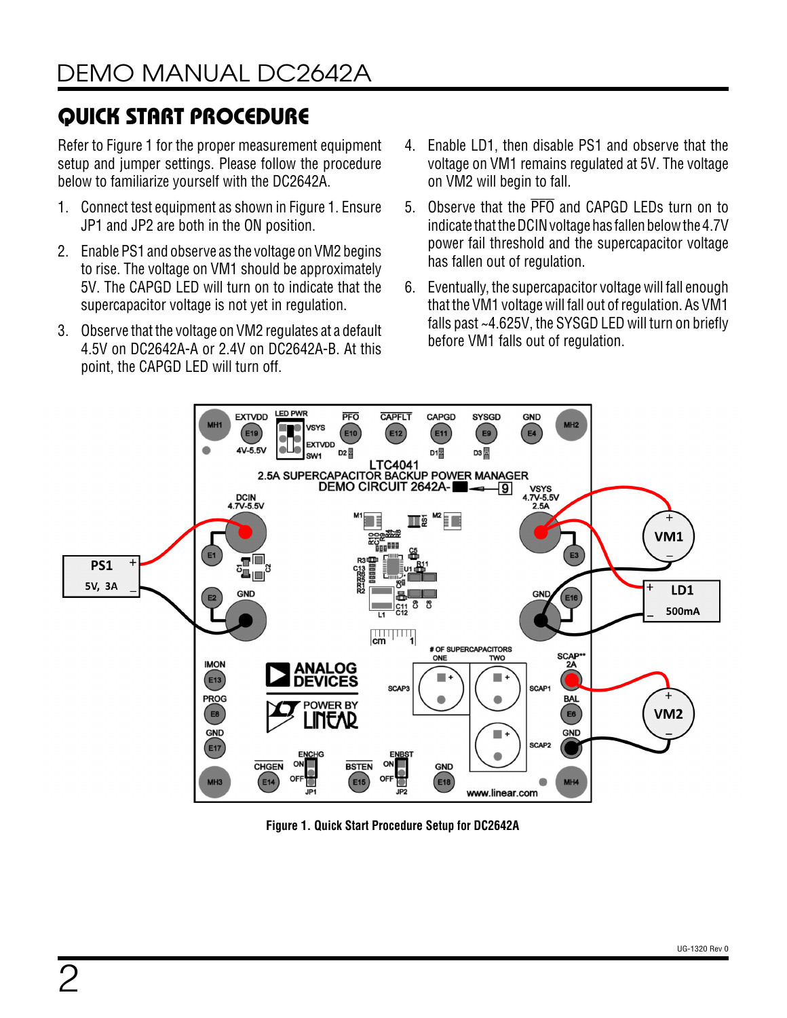# QUICK START PROCEDURE

Refer to [Figure 1](#page-1-0) for the proper measurement equipment setup and jumper settings. Please follow the procedure below to familiarize yourself with the DC2642A.

- 1. Connect test equipment as shown in [Figure 1.](#page-1-0) Ensure JP1 and JP2 are both in the ON position.
- 2. Enable PS1 and observe as the voltage on VM2 begins to rise. The voltage on VM1 should be approximately 5V. The CAPGD LED will turn on to indicate that the supercapacitor voltage is not yet in regulation.
- 3. Observe that the voltage on VM2 regulates at a default 4.5V on DC2642A-A or 2.4V on DC2642A-B. At this point, the CAPGD LED will turn off.
- 4. Enable LD1, then disable PS1 and observe that the voltage on VM1 remains regulated at 5V. The voltage on VM2 will begin to fall.
- 5. Observe that the PFO and CAPGD LEDs turn on to indicate that the DCIN voltage has fallen below the 4.7V power fail threshold and the supercapacitor voltage has fallen out of regulation.
- 6. Eventually, the supercapacitor voltage will fall enough that the VM1 voltage will fall out of regulation. As VM1 falls past ~4.625V, the SYSGD LED will turn on briefly before VM1 falls out of regulation.



<span id="page-1-0"></span>**Figure 1. Quick Start Procedure Setup for DC2642A**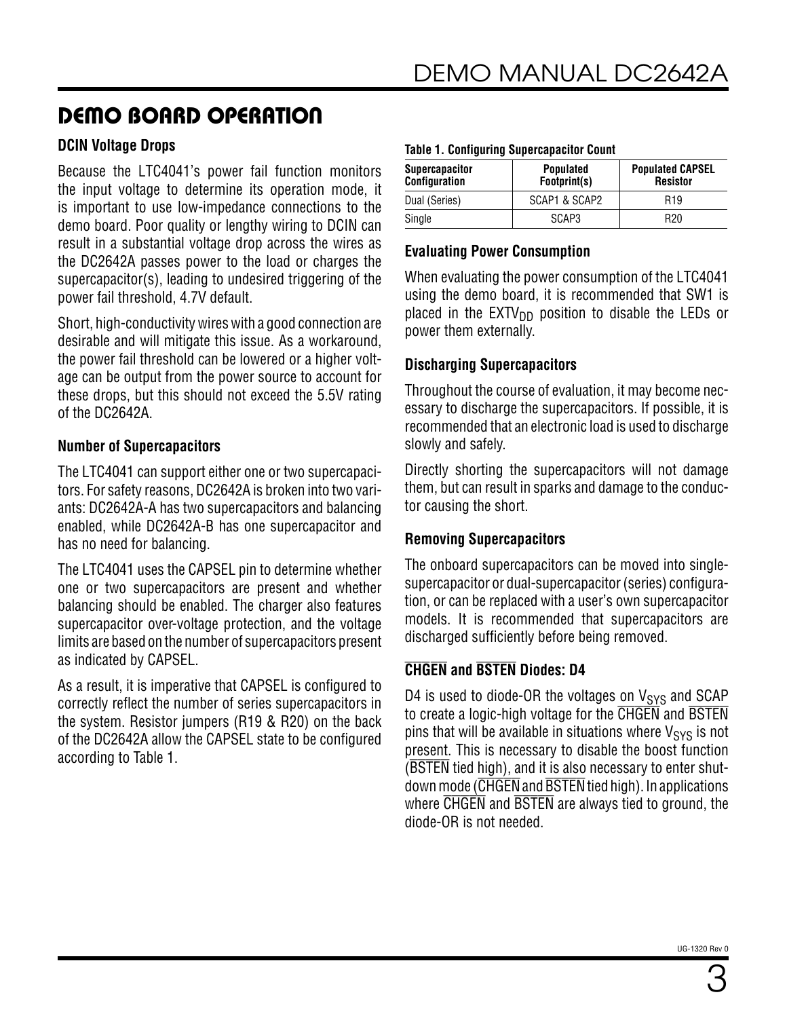#### **DCIN Voltage Drops**

Because the LTC4041's power fail function monitors the input voltage to determine its operation mode, it is important to use low-impedance connections to the demo board. Poor quality or lengthy wiring to DCIN can result in a substantial voltage drop across the wires as the DC2642A passes power to the load or charges the supercapacitor(s), leading to undesired triggering of the power fail threshold, 4.7V default.

Short, high-conductivity wires with a good connection are desirable and will mitigate this issue. As a workaround, the power fail threshold can be lowered or a higher voltage can be output from the power source to account for these drops, but this should not exceed the 5.5V rating of the DC2642A.

#### **Number of Supercapacitors**

The LTC4041 can support either one or two supercapacitors. For safety reasons, DC2642A is broken into two variants: DC2642A-A has two supercapacitors and balancing enabled, while DC2642A-B has one supercapacitor and has no need for balancing.

The LTC4041 uses the CAPSEL pin to determine whether one or two supercapacitors are present and whether balancing should be enabled. The charger also features supercapacitor over-voltage protection, and the voltage limits are based on the number of supercapacitors present as indicated by CAPSEL.

As a result, it is imperative that CAPSEL is configured to correctly reflect the number of series supercapacitors in the system. Resistor jumpers (R19 & R20) on the back of the DC2642A allow the CAPSEL state to be configured according to [Table 1.](#page-2-0)

#### <span id="page-2-0"></span>**Table 1. Configuring Supercapacitor Count**

| <b>Supercapacitor</b><br><b>Configuration</b> | <b>Populated</b><br>Footprint(s) | <b>Populated CAPSEL</b><br><b>Resistor</b><br>R <sub>19</sub> |  |
|-----------------------------------------------|----------------------------------|---------------------------------------------------------------|--|
| Dual (Series)                                 | SCAP1 & SCAP2                    |                                                               |  |
| Single                                        | SCAP3                            | R <sub>20</sub>                                               |  |

#### **Evaluating Power Consumption**

When evaluating the power consumption of the LTC4041 using the demo board, it is recommended that SW1 is placed in the  $EXTV_{DD}$  position to disable the LEDs or power them externally.

### **Discharging Supercapacitors**

Throughout the course of evaluation, it may become necessary to discharge the supercapacitors. If possible, it is recommended that an electronic load is used to discharge slowly and safely.

Directly shorting the supercapacitors will not damage them, but can result in sparks and damage to the conductor causing the short.

### **Removing Supercapacitors**

The onboard supercapacitors can be moved into singlesupercapacitor or dual-supercapacitor (series) configuration, or can be replaced with a user's own supercapacitor models. It is recommended that supercapacitors are discharged sufficiently before being removed.

### **CHGEN and BSTEN Diodes: D4**

D4 is used to diode-OR the voltages on  $V_{\text{SYS}}$  and SCAP to create a logic-high voltage for the CHGEN and BSTEN pins that will be available in situations where  $V_{SYS}$  is not present. This is necessary to disable the boost function (BSTEN tied high), and it is also necessary to enter shutdown mode (CHGEN and BSTEN tied high). In applications where CHGEN and BSTEN are always tied to ground, the diode-OR is not needed.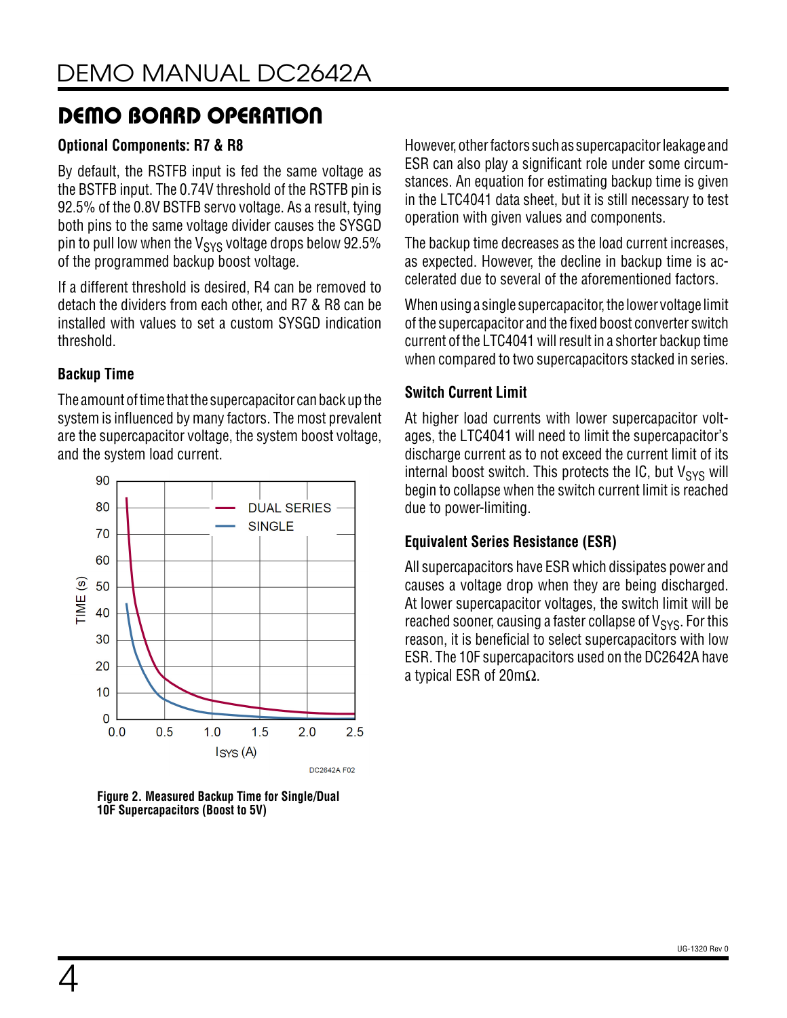#### **Optional Components: R7 & R8**

By default, the RSTFB input is fed the same voltage as the BSTFB input. The 0.74V threshold of the RSTFB pin is 92.5% of the 0.8V BSTFB servo voltage. As a result, tying both pins to the same voltage divider causes the SYSGD pin to pull low when the  $V_{\rm{SYS}}$  voltage drops below 92.5% of the programmed backup boost voltage.

If a different threshold is desired, R4 can be removed to detach the dividers from each other, and R7 & R8 can be installed with values to set a custom SYSGD indication threshold.

#### **Backup Time**

The amount of time that the supercapacitor can back up the system is influenced by many factors. The most prevalent are the supercapacitor voltage, the system boost voltage, and the system load current.



**Figure 2. Measured Backup Time for Single/Dual 10F Supercapacitors (Boost to 5V)**

However, other factors such as supercapacitor leakage and ESR can also play a significant role under some circumstances. An equation for estimating backup time is given in the LTC4041 data sheet, but it is still necessary to test operation with given values and components.

The backup time decreases as the load current increases, as expected. However, the decline in backup time is accelerated due to several of the aforementioned factors.

When using a single supercapacitor, the lower voltage limit of the supercapacitor and the fixed boost converter switch current of the LTC4041 will result in a shorter backup time when compared to two supercapacitors stacked in series.

### **Switch Current Limit**

At higher load currents with lower supercapacitor voltages, the LTC4041 will need to limit the supercapacitor's discharge current as to not exceed the current limit of its internal boost switch. This protects the IC, but  $V_{SYS}$  will begin to collapse when the switch current limit is reached due to power-limiting.

### **Equivalent Series Resistance (ESR)**

All supercapacitors have ESR which dissipates power and causes a voltage drop when they are being discharged. At lower supercapacitor voltages, the switch limit will be reached sooner, causing a faster collapse of  $V_{\rm{SYS}}$ . For this reason, it is beneficial to select supercapacitors with low ESR. The 10F supercapacitors used on the DC2642A have a typical ESR of 20mΩ.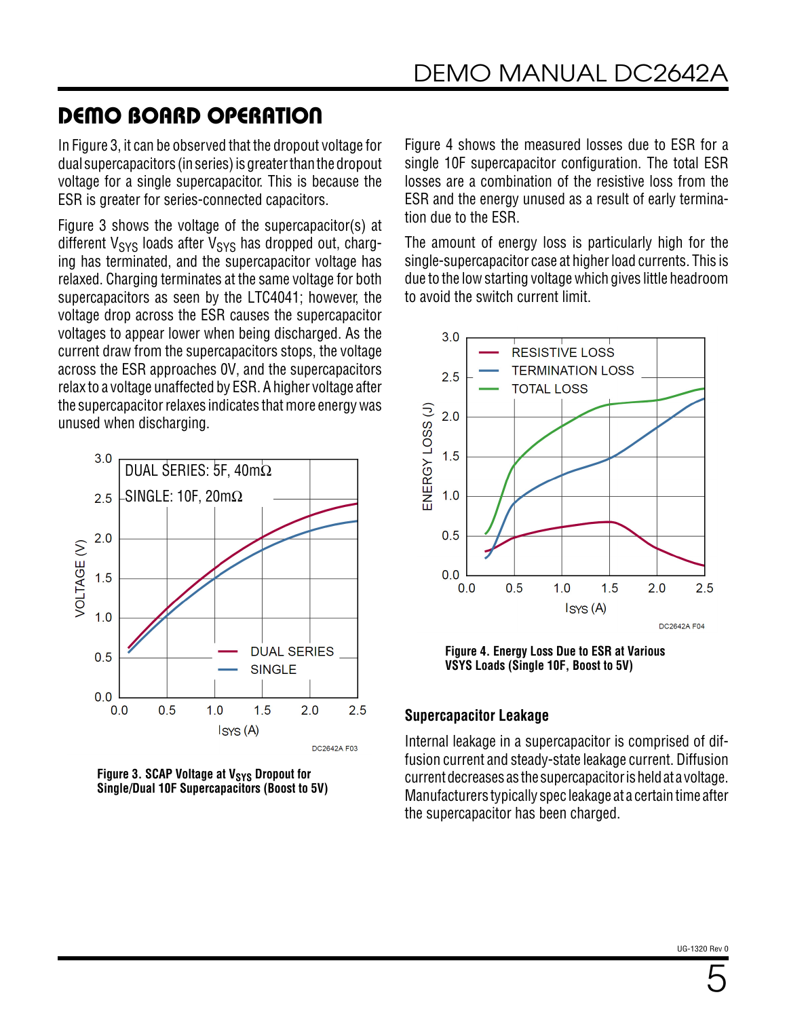In [Figure 3,](#page-4-0) it can be observed that the dropout voltage for dual supercapacitors (in series) is greater than the dropout voltage for a single supercapacitor. This is because the ESR is greater for series-connected capacitors.

[Figure 3](#page-4-0) shows the voltage of the supercapacitor(s) at different  $V_{SVS}$  loads after  $V_{SVS}$  has dropped out, charging has terminated, and the supercapacitor voltage has relaxed. Charging terminates at the same voltage for both supercapacitors as seen by the LTC4041; however, the voltage drop across the ESR causes the supercapacitor voltages to appear lower when being discharged. As the current draw from the supercapacitors stops, the voltage across the ESR approaches 0V, and the supercapacitors relax to a voltage unaffected by ESR. A higher voltage after the supercapacitor relaxes indicates that more energy was unused when discharging.



<span id="page-4-0"></span>**Figure 3. SCAP Voltage at V<sub>SYS</sub> Dropout for Single/Dual 10F Supercapacitors (Boost to 5V)**

[Figure 4](#page-4-1) shows the measured losses due to ESR for a single 10F supercapacitor configuration. The total ESR losses are a combination of the resistive loss from the ESR and the energy unused as a result of early termination due to the ESR.

The amount of energy loss is particularly high for the single-supercapacitor case at higher load currents. This is due to the low starting voltage which gives little headroom to avoid the switch current limit.



<span id="page-4-1"></span>**Figure 4. Energy Loss Due to ESR at Various VSYS Loads (Single 10F, Boost to 5V)**

### **Supercapacitor Leakage**

Internal leakage in a supercapacitor is comprised of diffusion current and steady-state leakage current. Diffusion current decreases as the supercapacitor is held at a voltage. Manufacturers typically spec leakage at a certain time after the supercapacitor has been charged.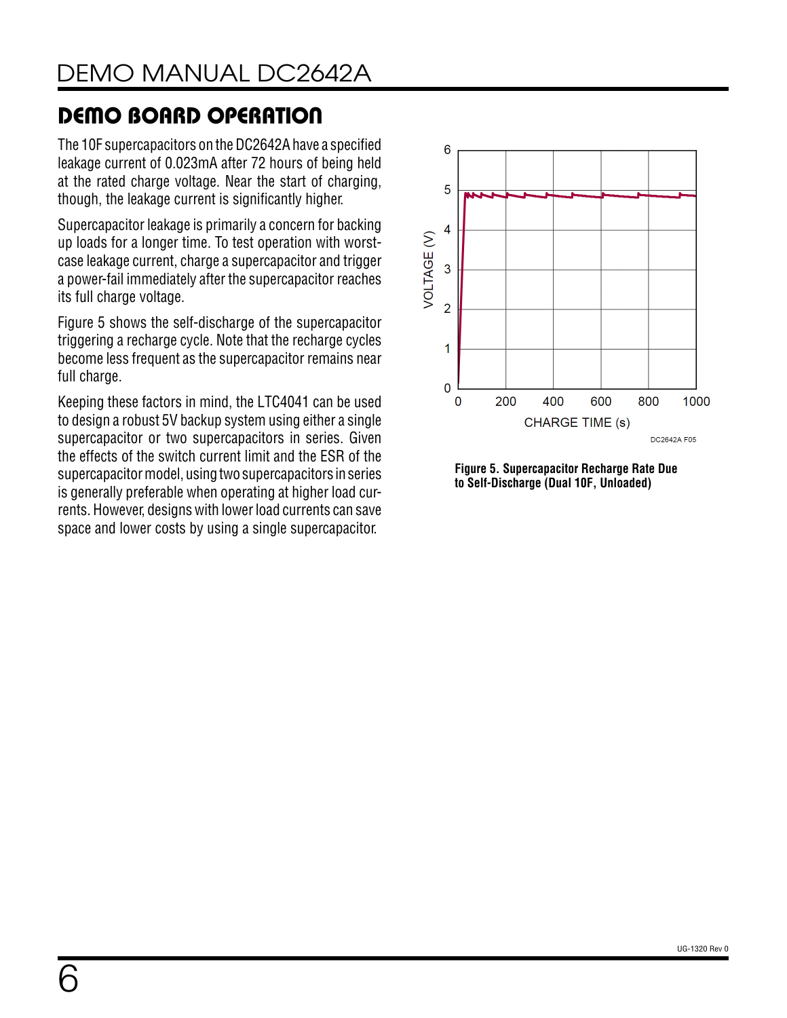The 10F supercapacitors on the DC2642A have a specified leakage current of 0.023mA after 72 hours of being held at the rated charge voltage. Near the start of charging, though, the leakage current is significantly higher.

Supercapacitor leakage is primarily a concern for backing up loads for a longer time. To test operation with worstcase leakage current, charge a supercapacitor and trigger a power-fail immediately after the supercapacitor reaches its full charge voltage.

[Figure 5](#page-5-0) shows the self-discharge of the supercapacitor triggering a recharge cycle. Note that the recharge cycles become less frequent as the supercapacitor remains near full charge.

Keeping these factors in mind, the LTC4041 can be used to design a robust 5V backup system using either a single supercapacitor or two supercapacitors in series. Given the effects of the switch current limit and the ESR of the supercapacitor model, using two supercapacitors in series is generally preferable when operating at higher load currents. However, designs with lower load currents can save space and lower costs by using a single supercapacitor.



<span id="page-5-0"></span>**Figure 5. Supercapacitor Recharge Rate Due to Self-Discharge (Dual 10F, Unloaded)**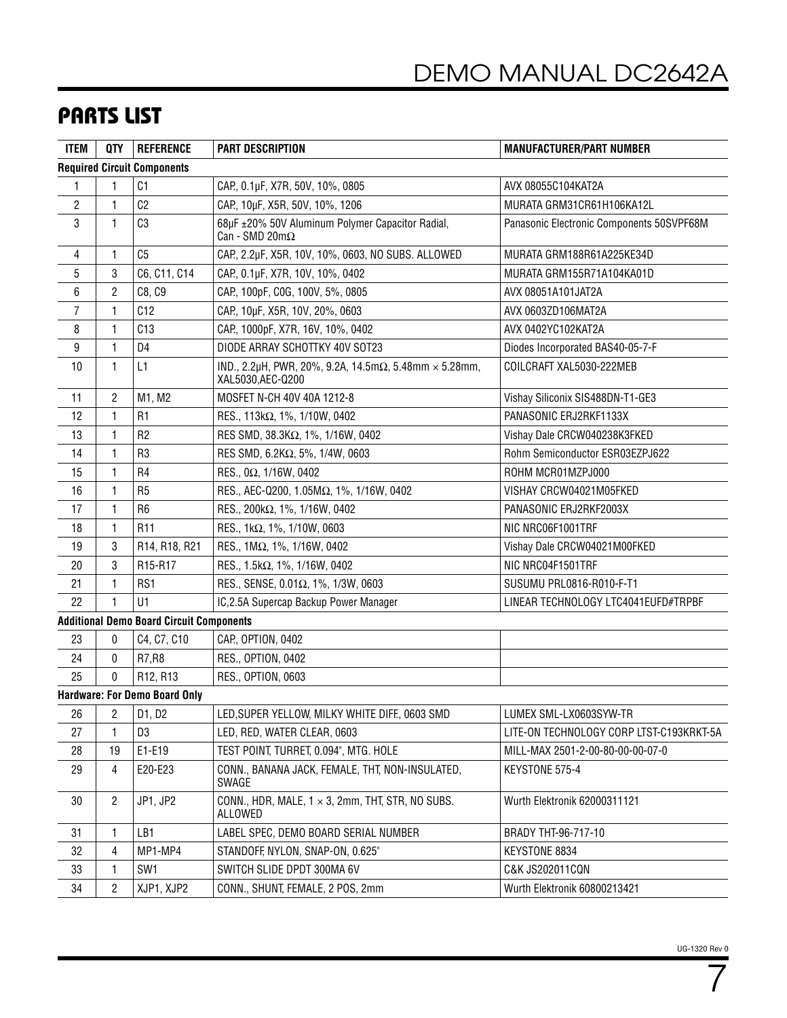### PARTS LIST

| <b>ITEM</b>             | <b>QTY</b>     | <b>REFERENCE</b>                                | <b>PART DESCRIPTION</b>                                                                    | <b>MANUFACTURER/PART NUMBER</b>           |
|-------------------------|----------------|-------------------------------------------------|--------------------------------------------------------------------------------------------|-------------------------------------------|
|                         |                | <b>Required Circuit Components</b>              |                                                                                            |                                           |
| 1                       | 1              | C <sub>1</sub>                                  | CAP., 0.1µF, X7R, 50V, 10%, 0805                                                           | AVX 08055C104KAT2A                        |
| $\overline{\mathbf{c}}$ | 1              | C <sub>2</sub>                                  | CAP, 10µF, X5R, 50V, 10%, 1206                                                             | MURATA GRM31CR61H106KA12L                 |
| 3                       | 1              | C3                                              | 68µF ±20% 50V Aluminum Polymer Capacitor Radial,<br>Can - SMD $20 \text{m}\Omega$          | Panasonic Electronic Components 50SVPF68M |
| 4                       | 1              | C <sub>5</sub>                                  | CAP., 2.2µF, X5R, 10V, 10%, 0603, NO SUBS. ALLOWED                                         | MURATA GRM188R61A225KE34D                 |
| 5                       | 3              | C6, C11, C14                                    | CAP., 0.1µF, X7R, 10V, 10%, 0402                                                           | MURATA GRM155R71A104KA01D                 |
| 6                       | 2              | C8, C9                                          | CAP., 100pF, COG, 100V, 5%, 0805                                                           | AVX 08051A101JAT2A                        |
| 7                       | 1              | C12                                             | CAP, 10µF, X5R, 10V, 20%, 0603                                                             | AVX 0603ZD106MAT2A                        |
| 8                       | 1              | C13                                             | CAP., 1000pF, X7R, 16V, 10%, 0402                                                          | AVX 0402YC102KAT2A                        |
| 9                       | 1              | D <sub>4</sub>                                  | DIODE ARRAY SCHOTTKY 40V SOT23                                                             | Diodes Incorporated BAS40-05-7-F          |
| 10                      | 1              | L1                                              | IND., 2.2µH, PWR, 20%, 9.2A, 14.5m $\Omega$ , 5.48mm $\times$ 5.28mm,<br>XAL5030, AEC-Q200 | COILCRAFT XAL5030-222MEB                  |
| 11                      | 2              | M1, M2                                          | MOSFET N-CH 40V 40A 1212-8                                                                 | Vishay Siliconix SIS488DN-T1-GE3          |
| 12                      | 1              | R <sub>1</sub>                                  | RES., 113kΩ, 1%, 1/10W, 0402                                                               | PANASONIC ERJ2RKF1133X                    |
| 13                      | $\mathbf{1}$   | R <sub>2</sub>                                  | RES SMD, 38.3ΚΩ, 1%, 1/16W, 0402                                                           | Vishay Dale CRCW040238K3FKED              |
| 14                      | 1              | R <sub>3</sub>                                  | RES SMD, 6.2ΚΩ, 5%, 1/4W, 0603                                                             | Rohm Semiconductor ESR03EZPJ622           |
| 15                      | 1              | R <sub>4</sub>                                  | RES., 0Ω, 1/16W, 0402                                                                      | ROHM MCR01MZPJ000                         |
| 16                      | 1              | R <sub>5</sub>                                  | RES., AEC-Q200, 1.05ΜΩ, 1%, 1/16W, 0402                                                    | VISHAY CRCW04021M05FKED                   |
| 17                      | 1              | R <sub>6</sub>                                  | RES., 200kΩ, 1%, 1/16W, 0402                                                               | PANASONIC ERJ2RKF2003X                    |
| 18                      | $\mathbf{1}$   | R <sub>11</sub>                                 | RES., 1kΩ, 1%, 1/10W, 0603                                                                 | NIC NRC06F1001TRF                         |
| 19                      | 3              | R14, R18, R21                                   | RES., 1ΜΩ, 1%, 1/16W, 0402                                                                 | Vishay Dale CRCW04021M00FKED              |
| 20                      | 3              | R15-R17                                         | RES., 1.5kΩ, 1%, 1/16W, 0402                                                               | NIC NRC04F1501TRF                         |
| 21                      | 1              | RS1                                             | RES., SENSE, 0.01Ω, 1%, 1/3W, 0603                                                         | SUSUMU PRL0816-R010-F-T1                  |
| 22                      | 1              | U1                                              | IC,2.5A Supercap Backup Power Manager                                                      | LINEAR TECHNOLOGY LTC4041EUFD#TRPBF       |
|                         |                | <b>Additional Demo Board Circuit Components</b> |                                                                                            |                                           |
| 23                      | 0              | C4, C7, C10                                     | CAP., OPTION, 0402                                                                         |                                           |
| 24                      | 0              | R7, R8                                          | RES., OPTION, 0402                                                                         |                                           |
| 25                      | 0              | R12, R13                                        | RES., OPTION, 0603                                                                         |                                           |
|                         |                | <b>Hardware: For Demo Board Only</b>            |                                                                                            |                                           |
| 26                      | 2              | D1, D2                                          | LED, SUPER YELLOW, MILKY WHITE DIFF., 0603 SMD                                             | LUMEX SML-LX0603SYW-TR                    |
| 27                      | 1              | D3                                              | LED, RED, WATER CLEAR, 0603                                                                | LITE-ON TECHNOLOGY CORP LTST-C193KRKT-5A  |
| 28                      | 19             | E1-E19                                          | TEST POINT, TURRET, 0.094", MTG. HOLE                                                      | MILL-MAX 2501-2-00-80-00-00-07-0          |
| 29                      | 4              | E20-E23                                         | CONN., BANANA JACK, FEMALE, THT, NON-INSULATED,<br>SWAGE                                   | KEYSTONE 575-4                            |
| 30                      | $\overline{c}$ | JP1, JP2                                        | CONN., HDR, MALE, 1 x 3, 2mm, THT, STR, NO SUBS.<br>ALLOWED                                | Wurth Elektronik 62000311121              |
| 31                      | 1              | LB1                                             | LABEL SPEC, DEMO BOARD SERIAL NUMBER                                                       | BRADY THT-96-717-10                       |
| 32                      | 4              | MP1-MP4                                         | STANDOFF, NYLON, SNAP-ON, 0.625"                                                           | KEYSTONE 8834                             |
| 33                      | 1              | SW <sub>1</sub>                                 | SWITCH SLIDE DPDT 300MA 6V                                                                 | C&K JS202011CQN                           |
| 34                      | 2              | XJP1, XJP2                                      | CONN., SHUNT, FEMALE, 2 POS, 2mm                                                           | Wurth Elektronik 60800213421              |

7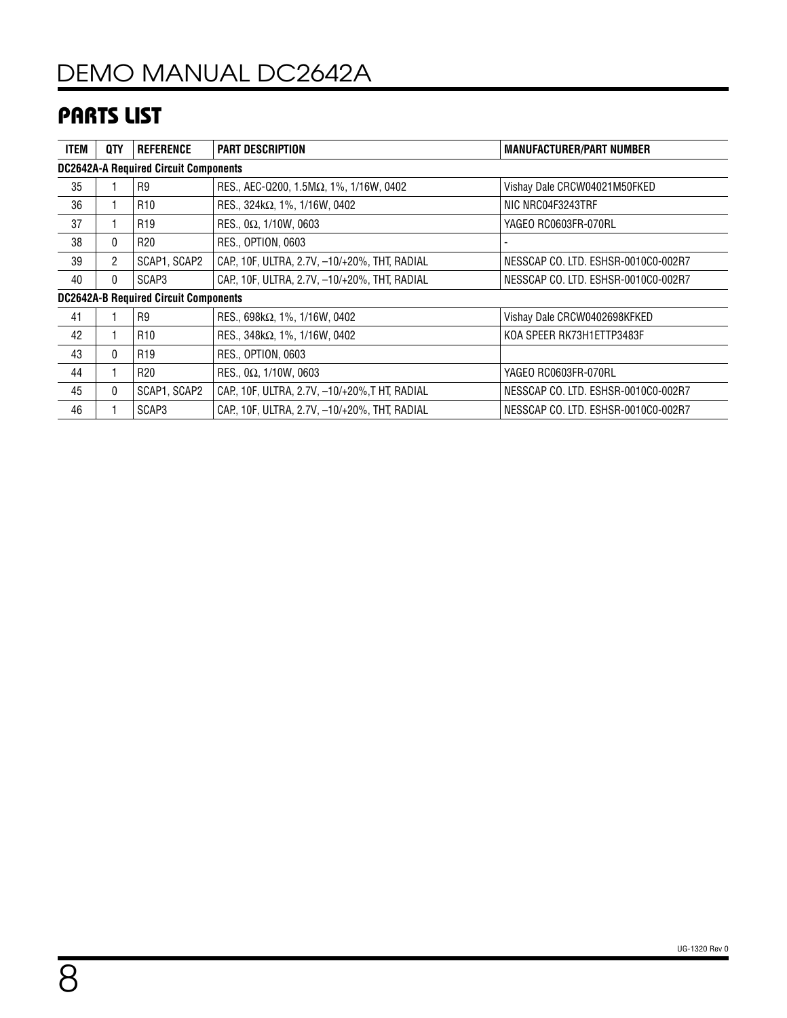## PARTS LIST

| ITEM                                         | QTY            | <b>REFERENCE</b> | <b>PART DESCRIPTION</b>                       | <b>MANUFACTURER/PART NUMBER</b>     |  |  |  |
|----------------------------------------------|----------------|------------------|-----------------------------------------------|-------------------------------------|--|--|--|
| <b>DC2642A-A Required Circuit Components</b> |                |                  |                                               |                                     |  |  |  |
| 35                                           |                | R <sub>9</sub>   | RES., AEC-Q200, 1.5ΜΩ, 1%, 1/16W, 0402        | Vishay Dale CRCW04021M50FKED        |  |  |  |
| 36                                           |                | R <sub>10</sub>  | RES., $324k\Omega$ , $1\%$ , $1/16W$ , 0402   | NIC NRC04F3243TRF                   |  |  |  |
| 37                                           |                | R <sub>19</sub>  | RES., 0 $\Omega$ , 1/10W, 0603                | YAGEO RC0603FR-070RL                |  |  |  |
| 38                                           | $\mathbf{0}$   | R <sub>20</sub>  | RES., OPTION, 0603                            |                                     |  |  |  |
| 39                                           | $\overline{2}$ | SCAP1, SCAP2     | CAP., 10F, ULTRA, 2.7V, -10/+20%, THT, RADIAL | NESSCAP CO. LTD. ESHSR-0010C0-002R7 |  |  |  |
| 40                                           | 0              | SCAP3            | CAP, 10F, ULTRA, 2.7V, -10/+20%, THT, RADIAL  | NESSCAP CO. LTD. ESHSR-0010C0-002R7 |  |  |  |
| <b>DC2642A-B Required Circuit Components</b> |                |                  |                                               |                                     |  |  |  |
| 41                                           |                | R <sub>9</sub>   | RES., 698k $\Omega$ , 1%, 1/16W, 0402         | Vishay Dale CRCW0402698KFKED        |  |  |  |
| 42                                           |                | R <sub>10</sub>  | RES., 348kΩ, 1%, 1/16W, 0402                  | KOA SPEER RK73H1ETTP3483F           |  |  |  |
| 43                                           | 0              | R <sub>19</sub>  | <b>RES., OPTION, 0603</b>                     |                                     |  |  |  |
| 44                                           |                | R <sub>20</sub>  | RES., 0 $\Omega$ , 1/10W, 0603                | YAGEO RC0603FR-070RL                |  |  |  |
| 45                                           | 0              | SCAP1, SCAP2     | CAP., 10F, ULTRA, 2.7V, -10/+20%, THT, RADIAL | NESSCAP CO. LTD. ESHSR-0010C0-002R7 |  |  |  |
| 46                                           |                | SCAP3            | CAP., 10F, ULTRA, 2.7V, -10/+20%, THT, RADIAL | NESSCAP CO. LTD. ESHSR-0010C0-002R7 |  |  |  |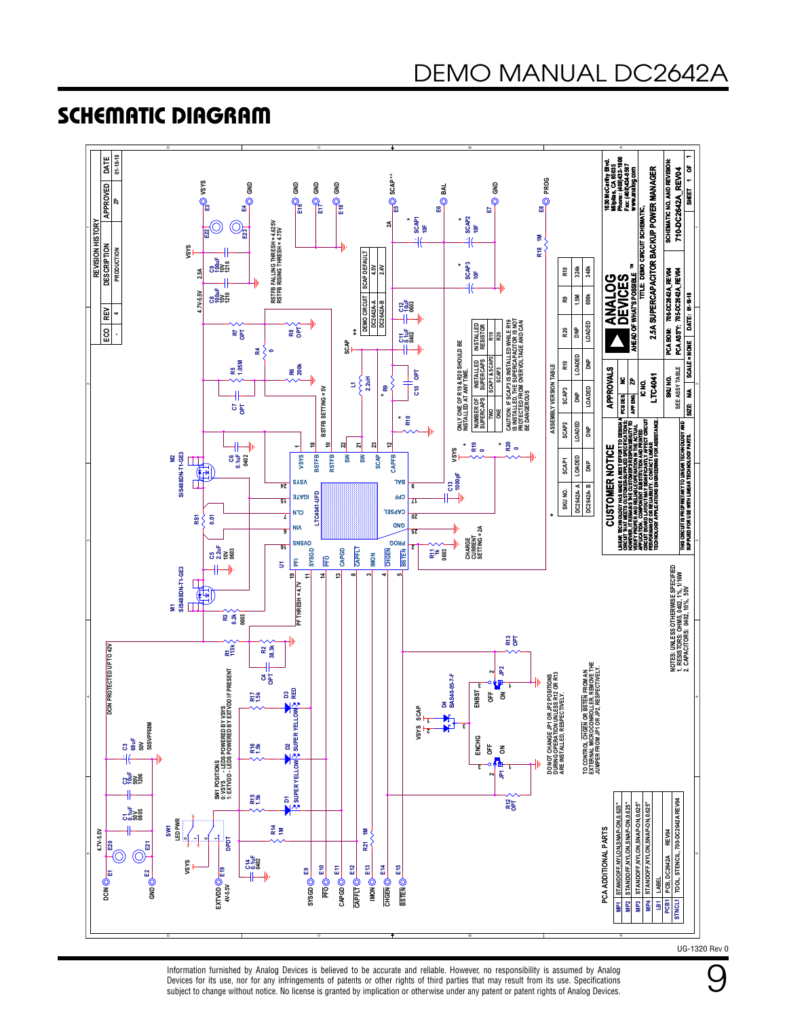### SCHEMATIC DIAGRAM



Information furnished by Analog Devices is believed to be accurate and reliable. However, no responsibility is assumed by Analog Devices for its use, nor for any infringements of patents or other rights of third parties that may result from its use. Specifications subject to change without notice. No license is granted by implication or otherwise under any patent or patent rights of Analog Devices.

9

UG-1320 Rev 0